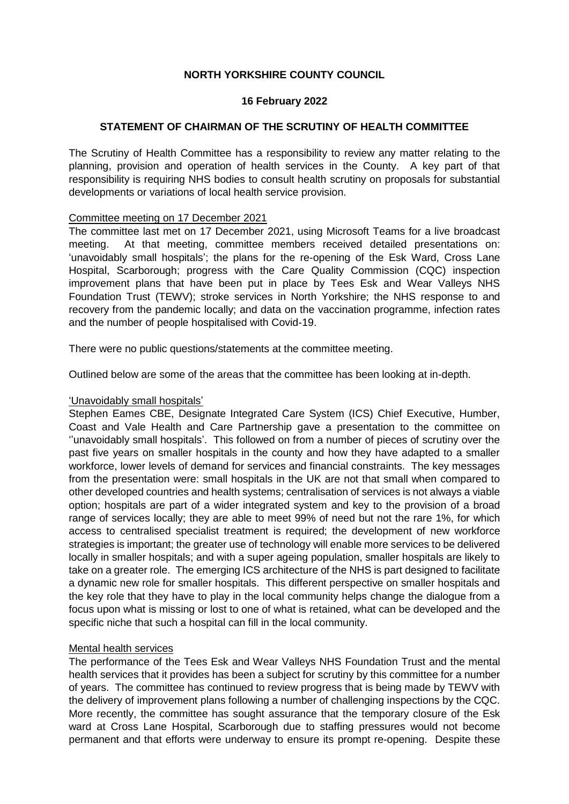# **NORTH YORKSHIRE COUNTY COUNCIL**

## **16 February 2022**

### **STATEMENT OF CHAIRMAN OF THE SCRUTINY OF HEALTH COMMITTEE**

The Scrutiny of Health Committee has a responsibility to review any matter relating to the planning, provision and operation of health services in the County. A key part of that responsibility is requiring NHS bodies to consult health scrutiny on proposals for substantial developments or variations of local health service provision.

### Committee meeting on 17 December 2021

The committee last met on 17 December 2021, using Microsoft Teams for a live broadcast meeting. At that meeting, committee members received detailed presentations on: 'unavoidably small hospitals'; the plans for the re-opening of the Esk Ward, Cross Lane Hospital, Scarborough; progress with the Care Quality Commission (CQC) inspection improvement plans that have been put in place by Tees Esk and Wear Valleys NHS Foundation Trust (TEWV); stroke services in North Yorkshire; the NHS response to and recovery from the pandemic locally; and data on the vaccination programme, infection rates and the number of people hospitalised with Covid-19.

There were no public questions/statements at the committee meeting.

Outlined below are some of the areas that the committee has been looking at in-depth.

#### 'Unavoidably small hospitals'

Stephen Eames CBE, Designate Integrated Care System (ICS) Chief Executive, Humber, Coast and Vale Health and Care Partnership gave a presentation to the committee on ''unavoidably small hospitals'. This followed on from a number of pieces of scrutiny over the past five years on smaller hospitals in the county and how they have adapted to a smaller workforce, lower levels of demand for services and financial constraints. The key messages from the presentation were: small hospitals in the UK are not that small when compared to other developed countries and health systems; centralisation of services is not always a viable option; hospitals are part of a wider integrated system and key to the provision of a broad range of services locally; they are able to meet 99% of need but not the rare 1%, for which access to centralised specialist treatment is required; the development of new workforce strategies is important; the greater use of technology will enable more services to be delivered locally in smaller hospitals; and with a super ageing population, smaller hospitals are likely to take on a greater role. The emerging ICS architecture of the NHS is part designed to facilitate a dynamic new role for smaller hospitals. This different perspective on smaller hospitals and the key role that they have to play in the local community helps change the dialogue from a focus upon what is missing or lost to one of what is retained, what can be developed and the specific niche that such a hospital can fill in the local community.

## Mental health services

The performance of the Tees Esk and Wear Valleys NHS Foundation Trust and the mental health services that it provides has been a subject for scrutiny by this committee for a number of years. The committee has continued to review progress that is being made by TEWV with the delivery of improvement plans following a number of challenging inspections by the CQC. More recently, the committee has sought assurance that the temporary closure of the Esk ward at Cross Lane Hospital, Scarborough due to staffing pressures would not become permanent and that efforts were underway to ensure its prompt re-opening. Despite these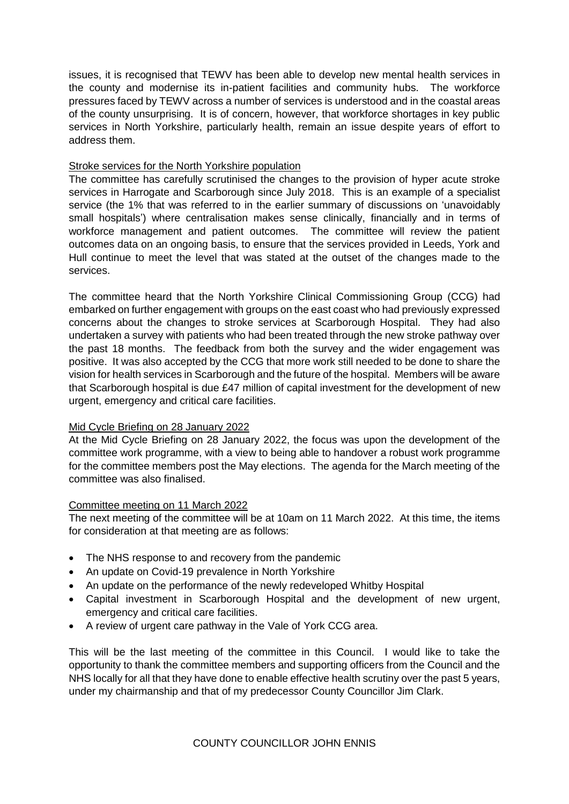issues, it is recognised that TEWV has been able to develop new mental health services in the county and modernise its in-patient facilities and community hubs. The workforce pressures faced by TEWV across a number of services is understood and in the coastal areas of the county unsurprising. It is of concern, however, that workforce shortages in key public services in North Yorkshire, particularly health, remain an issue despite years of effort to address them.

# Stroke services for the North Yorkshire population

The committee has carefully scrutinised the changes to the provision of hyper acute stroke services in Harrogate and Scarborough since July 2018. This is an example of a specialist service (the 1% that was referred to in the earlier summary of discussions on 'unavoidably small hospitals') where centralisation makes sense clinically, financially and in terms of workforce management and patient outcomes. The committee will review the patient outcomes data on an ongoing basis, to ensure that the services provided in Leeds, York and Hull continue to meet the level that was stated at the outset of the changes made to the services.

The committee heard that the North Yorkshire Clinical Commissioning Group (CCG) had embarked on further engagement with groups on the east coast who had previously expressed concerns about the changes to stroke services at Scarborough Hospital. They had also undertaken a survey with patients who had been treated through the new stroke pathway over the past 18 months. The feedback from both the survey and the wider engagement was positive. It was also accepted by the CCG that more work still needed to be done to share the vision for health services in Scarborough and the future of the hospital. Members will be aware that Scarborough hospital is due £47 million of capital investment for the development of new urgent, emergency and critical care facilities.

## Mid Cycle Briefing on 28 January 2022

At the Mid Cycle Briefing on 28 January 2022, the focus was upon the development of the committee work programme, with a view to being able to handover a robust work programme for the committee members post the May elections. The agenda for the March meeting of the committee was also finalised.

## Committee meeting on 11 March 2022

The next meeting of the committee will be at 10am on 11 March 2022. At this time, the items for consideration at that meeting are as follows:

- The NHS response to and recovery from the pandemic
- An update on Covid-19 prevalence in North Yorkshire
- An update on the performance of the newly redeveloped Whitby Hospital
- Capital investment in Scarborough Hospital and the development of new urgent, emergency and critical care facilities.
- A review of urgent care pathway in the Vale of York CCG area.

This will be the last meeting of the committee in this Council. I would like to take the opportunity to thank the committee members and supporting officers from the Council and the NHS locally for all that they have done to enable effective health scrutiny over the past 5 years, under my chairmanship and that of my predecessor County Councillor Jim Clark.